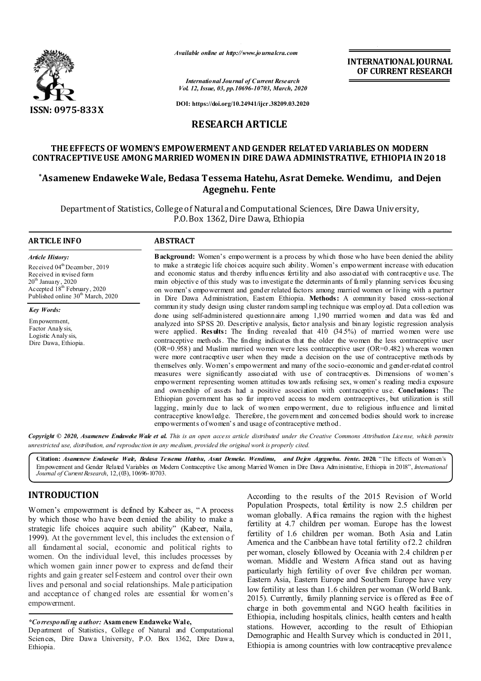

*Available online at http://www.journalcra.com*

**INTERNATIONAL JOURNAL OF CURRENT RESEARCH**

*International Journal of Current Research Vol. 12, Issue, 03, pp.10696-10703, March, 2020*

**DOI: https://doi.org/10.24941/ijcr.38209.03.2020**

# **RESEARCH ARTICLE**

# **THE EFFECTS OF WOMEN'S EMPOWERMENT AND GENDER RELATED VARIABLES ON MODERN CONTRACEPTIVE USE AMONG MARRIED WOMEN IN DIRE DAWA ADMINISTRATIVE, ETHIOPIA IN 2018**

# **\*Asamenew Endaweke Wale, Bedasa Tessema Hatehu, Asrat Demeke. Wendimu, and Dejen Agegnehu. Fente**

Department of Statistics, College of Natural and Computational Sciences, Dire Dawa University, P.O. Box 1362, Dire Dawa, Ethiopia

#### **ARTICLE INFO ABSTRACT**

*Article History:* Received 04<sup>th</sup> December, 2019 Received in revised form  $20^{\rm th}$  January , 2020 Accepted 18<sup>th</sup> February, 2020 Published online 30<sup>th</sup> March, 2020

*Key Words:* Empowerment,

Factor Analysis, Logistic Analy sis, Dire Dawa, Ethiopia. **Background:** Women's empowerment is a process by which those who have been denied the ability to make a strategic life choices acquire such ability. Women's empowerment increase with education and economic status and thereby influences fertility and also associated with contraceptive use. The main objective of this study was to investigate the determinants of family planning services focusing on women's empowerment and gender related factors among married women or living with a partner in Dire Dawa Administration, Eastern Ethiopia. **Methods:** A community based cross-sectional community study design using cluster random sampling technique was employed. Data collection was done using self-administered questionnaire among 1,190 married women and data was fed and analyzed into SPSS 20. Descriptive analysis, factor analysis and binary logistic regression analysis were applied. **Results:** The finding revealed that 410 (34.5%) of married women were use contraceptive methods. The finding indicates that the older the women the less contraceptive user (OR=0.958) and Muslim married women were less contraceptive user (OR=0.482) whereas women were more contraceptive user when they made a decision on the use of contraceptive methods by themselves only. Women's empowerment and many of the socio-economic and gender-related control measures were significantly associated with use of contraceptives. Dimensions of women's empowerment representing women attitudes towards refusing sex, women's reading media exposure and ownership of assets had a positive association with contraceptive use. **Conclusions:** The Ethiopian government has so far improved access to modern contraceptives, but utilization is still lagging, mainly due to lack of women empowerment, due to religious influence and limited contraceptive knowledge. Therefore, the government and concerned bodies should work to increase empowerments of women's and usage of contraceptive method.

Copyright © 2020, Asamenew Endaweke Wale et al. This is an open access article distributed under the Creative Commons Attribution License, which permits *unrestricted use, distribution, and reproduction in any medium, provided the original work is properly cited.*

**Citation:** *Asamenew Endaweke Wale, Bedasa Tessema Hatehu, Asrat Demeke. Wendimu, and Dejen Agegnehu. Fente.* **2020.** "The Effects of Women's Empowerment and Gender Related Variables on Modern Contraceptive Use among Married Women in Dire Dawa Administrative, Ethiopia in 2018", *International Journal of CurrentResearch*, 12,(03), 10696-10703.

# **INTRODUCTION**

Women's empowerment is defined by Kabeer as, " A process by which those who have been denied the ability to make a strategic life choices acquire such ability" (Kabeer, Naila, 1999). At the government level, this includes the extension of all fundamental social, economic and political rights to women. On the individual level, this includes processes by which women gain inner power to express and defend their rights and gain g reater self-esteem and control over their own lives and personal and social relationships. Male p articipation and acceptance of changed roles are essential for women's empowerment.

*\*Corresponding author:* **Asamenew Endaweke Wale,**

Department of Statistics, College of Natural and Computational Sciences, Dire Dawa University, P.O. Box 1362, Dire Dawa, Ethiopia.

According to the results of the 2015 Revision of World Population Prospects, total fertility is now 2.5 children per woman globally. Africa remains the region with the highest fertility at 4.7 children per woman. Europe has the lowest fertility of 1.6 children per woman. Both Asia and Latin America and the Caribbean have total fertility of 2.2 children per woman, closely followed by Oceania with 2.4 children p er woman. Middle and Western Africa stand out as having particularly high fertility of over five children per woman. Eastern Asia, Eastern Europe and Southern Europe have very low fertility at less than 1.6 children per woman (World Bank. 2015). Currently, family planning service is offered as free of charge in both governmental and NGO health facilities in Ethiopia, including hospitals, clinics, health centers and health stations. However, according to the result of Ethiopian Demographic and Health Survey which is conducted in 2011, Ethiopia is among countries with low contraceptive prevalence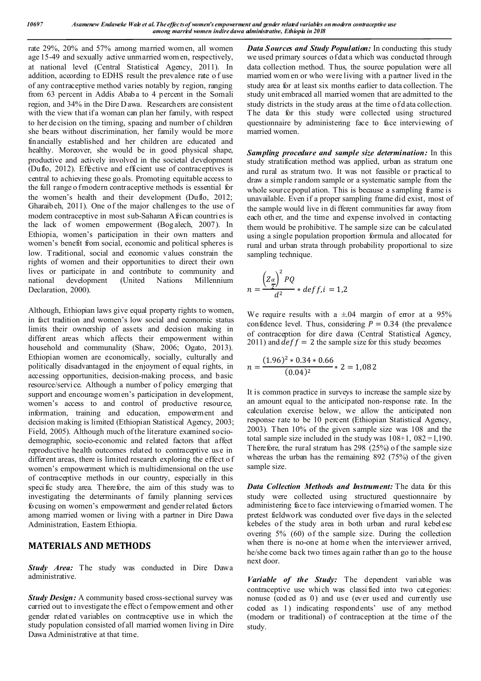rate 29%, 20% and 57% among married women, all women age 15-49 and sexually active unmarried wom en, respectively, at national level (Central Statistical Agency, 2011). In addition, according to EDHS result the prevalence rate o f use of any contraceptive method varies notably by region, ranging from 63 percent in Addis Ababa to 4 percent in the Somali region, and 34% in the Dire D awa. Researchers are consistent with the view that if a woman can plan her family, with respect to her decision on the timing, spacing and number of children she bears without discrimination, her family would be more financially established and her children are educated and healthy. Moreover, she would be in good physical shape, productive and actively involved in the societal development (Duflo, 2012). Effective and efficient use of contraceptives is central to achieving these go als. Promoting equitable access to the full range o fmodern contraceptive methods is essential for the women's health and their development (Duflo, 2012; Gharaibeh, 2011). One of the major challenges to the use of modern contraceptive in most sub-Saharan African countries is the lack of women empowerment (Bog alech, 2007). In Ethiopia, women's participation in their own matters and women's benefit from social, economic and political spheres is low. Traditional, social and economic values constrain the rights of women and their opportunities to direct their own lives or participate in and contribute to community and national development (United Nations Millennium Declaration, 2000).

Although, Ethiopian laws give equal property rights to women, in fact tradition and women's low social and economic status limits their ownership of assets and decision making in different areas which affects their empowerment within household and communality (Shaw, 2006; Ogato, 2013). Ethiopian women are economically, socially, culturally and politically disadvantaged in the enjoyment of equal rights, in accessing opportunities, decision-making process, and basic resource/service. Although a number of policy emerging that support and encourage women's participation in development, women's access to and control of productive resource, information, training and education, empowerment and decision making is limited (Ethiopian Statistical Agency, 2003; Field, 2005). Although much of the literature examined sociodemographic, socio-economic and related factors that affect reproductive health outcomes related to contraceptive use in different areas, there is limited research exploring the effect o f women's empowerment which is multidimensional on the use of contraceptive methods in our country, especially in this specific study area. Therefore, the aim of this study was to investigating the determinants of family planning services focusing on women's empowerment and gender related factors among married women or living with a partner in Dire Dawa Administration, Eastern Ethiopia.

# **MATERIALS AND METHODS**

*Study Area:* The study was conducted in Dire Dawa administrative.

*Study Design:* A community based cross-sectional survey was carried out to investigate the effect o f empowerment and other gender related variables on contraceptive use in which the study population consisted of all married women living in Dire Dawa Administrative at that time.

*Data Sources and Study Population:* In conducting this study we used primary sources of dat a which was conducted through data collection method. Thus, the source population were all married wom en or who were living with a partner lived in the study area for at least six months earlier to data collection. The study unit embraced all married women that are admitted to the study districts in the study areas at the time of d ata collection. The data for this study were collected using structured questionnaire by administering face to face interviewing of married women.

*Sampling procedure and sample size determination:* In this study stratification method was applied, urban as stratum one and rural as stratum two. It was not feasible or practical to draw a simple random sample or a systematic sample from the whole source popul ation. This is because a sampling frame is unavailable. Even if a proper sampling frame did exist, most of the sample would live in di fferent communities far away from each other, and the time and expense involved in contacting them would be prohibitive. The sample size can be calculated using a single population proportion formula and allocated for rural and urban strata through probability proportional to size sampling technique.

$$
n = \frac{\left(\frac{Z_{\alpha}}{Z}\right)^2 PQ}{d^2} * def f, i = 1,2
$$

We require results with a  $\pm 04$  margin of error at a 95% confidence level. Thus, considering  $P = 0.34$  (the prevalence of contraception for dire dawa (Central Statistical Agency, 2011) and  $def f = 2$  the sample size for this study becomes

$$
n = \frac{(1.96)^2 * 0.34 * 0.66}{(0.04)^2} * 2 = 1,082
$$

It is common practice in surveys to increase the sample size by an amount equal to the anticipated non-response rate. In the calculation exercise below, we allow the anticipated non response rate to be 10 percent (Ethiopian Statistical Agency, 2003). Then 10% of the given sample size was 108 and the total sample size included in the study was  $108+1$ ,  $082 = 1,190$ . Therefore, the rural stratum has 298 (25%) of the sample size whereas the urban has the remaining 892 (75%) of the given sample size.

*Data Collection Methods and Instrument:* The data for this study were collected using structured questionnaire by administering face to face interviewing o fmarried women. The pretest fieldwork was conducted over five days in the selected kebeles of the study area in both urban and rural kebelesc overing 5% (60) of the sample size. During the collection when there is no-one at home when the interviewer arrived, he/she come back two times again rather th an go to the house next door.

*Variable of the Study:* The dependent variable was contraceptive use which was classi fied into two categories: nonuse (coded as 0) and use (ever used and currently use coded as 1) indicating respondents' use of any method (modern or traditional) of contraception at the time of the study.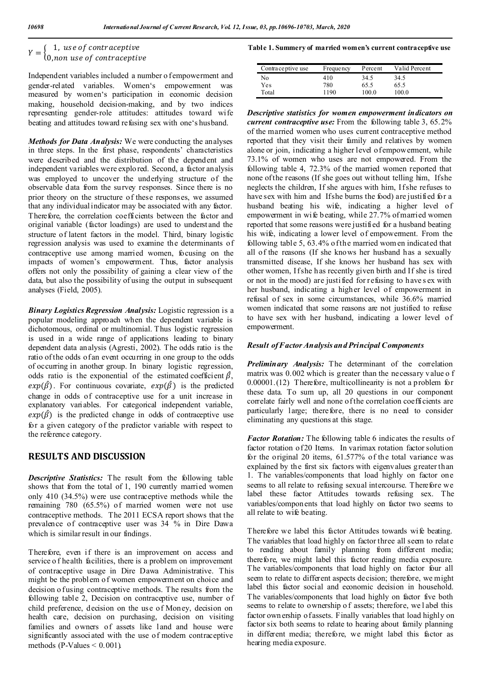# $Y = \left\{ \begin{matrix} 1, \text{ use of contract} \\ 0, \text{non use of contract} \end{matrix} \right.$

Independent variables included a number o f empowerment and gender-related variables. Women's empowerment was measured by women's participation in economic decision making, household decision-making, and by two indices representing gender-role attitudes: attitudes toward wife beating and attitudes toward refusing sex with one's husband.

*Methods for Data Analysis:* We were conducting the analyses in three steps. In the first phase, respondents' characteristics were described and the distribution of the dependent and independent variables were explo red. Second, a factor analysis was employed to uncover the underlying structure of the observable data from the survey responses. Since there is no prior theory on the structure of these responses, we assumed that any individual indicator may be associated with any factor. Therefore, the correlation coefficients between the factor and original variable (factor loadings) are used to underst and the structure of latent factors in the model. Third, binary logistic regression analysis was used to examine the determinants of contraceptive use among married women, focusing on the impacts of women's empowerment. Thus, factor analysis offers not only the possibility of gaining a clear view of the data, but also the possibility of using the output in subsequent analyses (Field, 2005).

*Binary Logistics Regression Analysis:* Logistic regression is a popular modeling approach when the dependent variable is dichotomous, ordinal or multinomial. Thus logistic regression is used in a wide range of applications leading to binary dependent data analysis (Agresti, 2002). The odds ratio is the ratio of the odds of an event occurring in one group to the odds of occurring in another group. In binary logistic regression, odds ratio is the exponential of the estimated coefficient  $\hat{\beta}$ ,  $exp(\hat{\beta})$ . For continuous covariate,  $exp(\hat{\beta})$  is the predicted change in odds of contraceptive use for a unit increase in explanatory variables. For categorical independent variable,  $exp(\hat{\beta})$  is the predicted change in odds of contraceptive use for a given category of the predictor variable with respect to the reference category.

# **RESULTS AND DISCUSSION**

*Descriptive Statistics:* The result from the following table shows that from the total of 1, 190 currently married women only 410 (34.5%) were use contraceptive methods while the remaining 780 (65.5%) of married women were not use contraceptive methods. The 2011 ECSA report shows that the prevalence of contraceptive user was 34 % in Dire Dawa which is similar result in our findings.

Therefore, even if there is an improvement on access and service o f health facilities, there is a problem on improvement of contraceptive usage in Dire Dawa Administrative. This might be the problem o f women empowerment on choice and decision o fusing contraceptive methods. The results from the following table 2, Decision on contraceptive use, number of child preference, decision on the use of Money, decision on health care, decision on purchasing, decision on visiting families and owners of assets like land and house were significantly associated with the use of modern contraceptive methods (P-Values  $\leq 0.001$ ).

#### **Table 1. Summery of married women's current contraceptive use**

| Contrace prive use | <b>Frequency</b> | Percent | Valid Percent |
|--------------------|------------------|---------|---------------|
| No                 | 410              | 34.5    | 34.5          |
| Yes                | 780              | 65.5    | 65.5          |
| Total              | 1190             | 100.0   | 100.0         |

*Descriptive statistics for women empowerment indicators on current contraceptive use:* From the following table 3, 65.2% of the married women who uses current contraceptive method reported that they visit their family and relatives by women alone or join, indicating a higher level of empowerment, while 73.1% of women who uses are not empowered. From the following table 4, 72.3% of the married women reported that none of the reasons (If she goes out without telling him, If she neglects the children, If she argues with him, If she refuses to have sex with him and If she burns the food) are justified for a husband beating his wife, indicating a higher level of empowerment in wife beating, while 27.7% of married women reported that some reasons were justified for a husband beating his wife, indicating a lower level of empowerment. From the following table 5, 63.4% of the married wom en indicated that all of the reasons (If she knows her husband has a sexually transmitted disease, If she knows her husband has sex with other women, If she has recently given birth and If she is tired or not in the mood) are justified for refusing to have s ex with her husband, indicating a higher level of empowerment in refusal of sex in some circumstances, while 36.6% married women indicated that some reasons are not justified to refuse to have sex with her husband, indicating a lower level of empowerment.

#### *Result of Factor Analysis and Principal Components*

*Preliminary Analysis:* The determinant of the correlation matrix was 0.002 which is greater than the necessary value o f 0.00001.(12) Therefore, multicollinearity is not a problem for these data. To sum up, all 20 questions in our component correlate fairly well and none of the correlation coefficients are particularly large; therefore, there is no need to consider eliminating any questions at this stage.

*Factor Rotation:* The following table 6 indicates the results of factor rotation of 20 Items. In varimax rotation factor solution for the original 20 items, 61.577% of the total variance was explained by the first six factors with eigenvalues greater than 1. The variables/components that load highly on factor one seems to all relate to refusing sexual intercourse. Therefore we label these factor Attitudes towards refusing sex. The variables/components that load highly on factor two seems to all relate to wife beating.

Therefore we label this factor Attitudes towards wife beating. The variables that load highly on factor three all seem to relate to reading about family planning from different media; therefore, we might label this factor reading media exposure. The variables/components that load highly on factor four all seem to relate to different aspects decision; therefore, we might label this factor social and economic decision in household. The variables/components that load highly on factor five both seems to relate to ownership o f assets; therefore, we l abel this factor own ership of assets. Finally variables that load highly on factor six both seems to relate to hearing about family planning in different media; therefore, we might label this factor as hearing media exposure.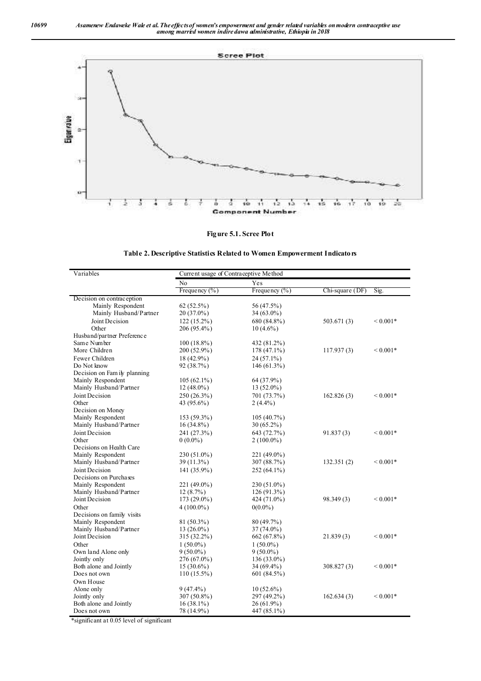

**Figure 5.1. Scree Plot**

|  |  | Table 2. Descriptive Statistics Related to Women Empowerment Indicators |  |
|--|--|-------------------------------------------------------------------------|--|
|  |  |                                                                         |  |

| Variables                    |                   | Current usage of Contraceptive Method |                 |                    |  |  |
|------------------------------|-------------------|---------------------------------------|-----------------|--------------------|--|--|
|                              | N <sub>o</sub>    | Yes                                   |                 |                    |  |  |
|                              | Frequency $(\% )$ | Frequency $(\% )$                     | Chi-square (DF) | Sig.               |  |  |
| Decision on contraception    |                   |                                       |                 |                    |  |  |
| Mainly Respondent            | 62(52.5%)         | 56 (47.5%)                            |                 |                    |  |  |
| Mainly Husband/Partner       | $20(37.0\%)$      | $34(63.0\%)$                          |                 |                    |  |  |
| Joint Decision               | $122(15.2\%)$     | 680 (84.8%)                           | 503.671(3)      | ${}_{\leq 0.001*}$ |  |  |
| Other                        | 206 (95.4%)       | $10(4.6\%)$                           |                 |                    |  |  |
| Husband/partner Preference   |                   |                                       |                 |                    |  |  |
| Same Number                  | $100(18.8\%)$     | 432 (81.2%)                           |                 |                    |  |  |
| More Children                | 200 (52.9%)       | $178(47.1\%)$                         | 117.937(3)      | ${}_{\leq 0.001*}$ |  |  |
| Fewer Children               | 18 (42.9%)        | 24 (57.1%)                            |                 |                    |  |  |
| Do Not know                  | 92 (38.7%)        | $146(61.3\%)$                         |                 |                    |  |  |
| Decision on Fam ily planning |                   |                                       |                 |                    |  |  |
| Mainly Respondent            | $105(62.1\%)$     | 64 (37.9%)                            |                 |                    |  |  |
| Mainly Husband/Partner       | $12(48.0\%)$      | $13(52.0\%)$                          |                 |                    |  |  |
| Joint Decision               | 250 (26.3%)       | 701 (73.7%)                           | 162.826(3)      | ${}_{\leq 0.001*}$ |  |  |
| Other                        | 43 (95.6%)        | $2(4.4\%)$                            |                 |                    |  |  |
| Decision on Money            |                   |                                       |                 |                    |  |  |
| Mainly Respondent            | 153 (59.3%)       | 105(40.7%)                            |                 |                    |  |  |
| Mainly Husband/Partner       | 16 (34.8%)        | 30 (65.2%)                            |                 |                    |  |  |
| Joint Decision               | 241 (27.3%)       | 643 (72.7%)                           | 91.837(3)       | ${}_{\leq 0.001*}$ |  |  |
| Other                        | $0(0.0\%)$        | $2(100.0\%)$                          |                 |                    |  |  |
| Decisions on Health Care     |                   |                                       |                 |                    |  |  |
| Mainly Respondent            | 230 (51.0%)       | 221 (49.0%)                           |                 |                    |  |  |
| Mainly Husband/Partner       | 39 (11.3%)        | 307 (88.7%)                           | 132.351(2)      | ${}_{\leq 0.001*}$ |  |  |
| Joint Decision               | 141 (35.9%)       | 252 (64.1%)                           |                 |                    |  |  |
| Decisions on Purchases       |                   |                                       |                 |                    |  |  |
| Mainly Respondent            | 221 (49.0%)       | 230 (51.0%)                           |                 |                    |  |  |
| Mainly Husband/Partner       | 12(8.7%)          | $126(91.3\%)$                         |                 |                    |  |  |
| Joint Decision               | 173 (29.0%)       | 424 (71.0%)                           | 98.349 (3)      | ${}_{\leq 0.001*}$ |  |  |
| Other                        | $4(100.0\%)$      | $0(0.0\%)$                            |                 |                    |  |  |
| Decisions on family visits   |                   |                                       |                 |                    |  |  |
| Mainly Respondent            | $81(50.3\%)$      | 80 (49.7%)                            |                 |                    |  |  |
| Mainly Husband/Partner       | $13(26.0\%)$      | $37(74.0\%)$                          |                 |                    |  |  |
| Joint Decision               | 315 (32.2%)       | 662 (67.8%)                           | 21.839(3)       | ${}_{\leq 0.001*}$ |  |  |
| Other                        | $1(50.0\%)$       | $1(50.0\%)$                           |                 |                    |  |  |
| Own land Alone only          | $9(50.0\%)$       | $9(50.0\%)$                           |                 |                    |  |  |
| Jointly only                 | 276 (67.0%)       | $136(33.0\%)$                         |                 |                    |  |  |
| Both alone and Jointly       | $15(30.6\%)$      | 34 (69.4%)                            | 308.827(3)      | $0.001*$           |  |  |
| Does not own                 | $110(15.5\%)$     | 601 (84.5%)                           |                 |                    |  |  |
| Own House                    |                   |                                       |                 |                    |  |  |
| Alone only                   | $9(47.4\%)$       | $10(52.6\%)$                          |                 |                    |  |  |
| Jointly only                 | 307 (50.8%)       | 297 (49.2%)                           | 162.634(3)      | ${}_{\leq 0.001*}$ |  |  |
| Both alone and Jointly       | $16(38.1\%)$      | 26 (61.9%)                            |                 |                    |  |  |
| Does not own                 | 78 (14.9%)        | 447 (85.1%)                           |                 |                    |  |  |

\*significant at 0.05 level of significant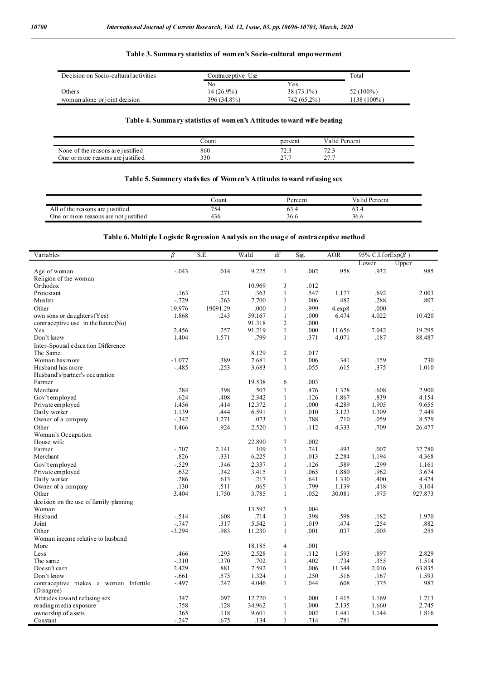#### **Table 3. Summary statistics of women's Socio-cultural empowerment**

| Decision on Socio-cultural activities | Contraceptive Use | Total        |              |
|---------------------------------------|-------------------|--------------|--------------|
|                                       | No                | Yes          |              |
| Others                                | $14(26.9\%)$      | $38(73.1\%)$ | 52 $(100\%)$ |
| wom an alone or joint decision        | 396 (34.8%)       | 742 (65.2%)  | 1138 (100%)  |

### **Table 4. Summary statistics of women's Attitudes toward wife beating**

|                                        | `ount | percent                           | Valid Percent      |  |
|----------------------------------------|-------|-----------------------------------|--------------------|--|
| f the reasons are justified<br>None of | 860   | $\overline{\phantom{a}}$<br>۔ ۔ ۔ | $\sim$<br>ے والے ا |  |
| One or more reasons are justified      | 330   | $\sim$<br><u>.</u>                | $\sim$<br><u>.</u> |  |

#### **Table 5. Summery statistics of Women's Attitudes toward refusing sex**

|                                                                 | Count      | $\rm p_{\rm{ercent}}$ | Valid Percent |  |
|-----------------------------------------------------------------|------------|-----------------------|---------------|--|
| $\sim$<br>$\Delta$ 11<br>reasons are justified<br>- OT<br>the . | $\sim$ $-$ | 09.4                  | 03.4          |  |
| $\cdot$<br>One or more reasons are not justified                | 456        | 36.6                  | 36.6          |  |

### **Table 6. Multiple Logistic Regression Analysis on the usage of contraceptive method**

| Upper<br>Lower<br>.985<br>$-.043$<br>.014<br>9.225<br>$\mathbf{1}$<br>.002<br>.958<br>.932<br>Age of woman<br>Religion of the wom an<br>Orthodox<br>10.969<br>3<br>.012<br>Protestant<br>.163<br>.271<br>.363<br>$\mathbf{1}$<br>.547<br>1.177<br>.692<br>2.003<br>$-.729$<br>.263<br>7.700<br>$\mathbf{1}$<br>.006<br>.482<br>.288<br>.807<br>Muslim<br>19.976<br>.000<br>.999<br>19091.29<br>$\mathbf{1}$<br>4.exp8<br>.000<br>Other<br>1.868<br>.243<br>59.167<br>$\mathbf{1}$<br>.000<br>6.474<br>4.022<br>10.420<br>own sons or daughters (Yes)<br>$\overline{2}$<br>contraceptive use in the future (No)<br>91.318<br>.000<br>$\mathbf{1}$<br>.257<br>91.219<br>.000<br>7.042<br>19.295<br>Yes<br>2.456<br>11.656<br>1.404<br>1.571<br>.799<br>$\mathbf{1}$<br>.371<br>4.071<br>.187<br>88.487<br>Don't know<br>Inter-Spousal education Difference<br>8.129<br>$\overline{2}$<br>.017<br>The Same<br>.389<br>7.681<br>$\mathbf{1}$<br>.006<br>Woman has more<br>$-1.077$<br>.341<br>.159<br>.730<br>.253<br>$\mathbf{1}$<br>.055<br>.615<br>.375<br>1.010<br>Husband has more<br>-.485<br>3.683<br>Husband's/partner's occupation<br>.003<br>Farmer<br>19.538<br>6<br>.284<br>.398<br>.507<br>$\mathbf{1}$<br>.476<br>1.328<br>2.900<br>Merchant<br>.608<br>Gov't em ployed<br>.624<br>.408<br>2.342<br>$\mathbf{1}$<br>.126<br>1.867<br>.839<br>4.154<br>4.289<br>Private employed<br>1.456<br>.414<br>12.372<br>$\mathbf{1}$<br>.000<br>1.905<br>9.655<br>1.139<br>.444<br>6.591<br>3.123<br>7.449<br>Daily worker<br>$\mathbf{1}$<br>.010<br>1.309<br>$-.342$<br>1.271<br>.073<br>$\mathbf{1}$<br>.788<br>.710<br>.059<br>8.579<br>Owner of a company<br>.924<br>4.333<br>.709<br>Other<br>1.466<br>2.520<br>$\mathbf{1}$<br>.112<br>26.477<br>Woman's Occupation<br>$\overline{7}$<br>.002<br>House wife<br>22.890<br>$-.707$<br>.109<br>$\mathbf{1}$<br>.741<br>.493<br>Farmer<br>2.141<br>.007<br>32.780<br>.826<br>.331<br>6.225<br>$\mathbf{1}$<br>.013<br>2.284<br>1.194<br>4.368<br>Merchant<br>$-.529$<br>2.337<br>$\mathbf{1}$<br>.589<br>.299<br>Gov't em ployed<br>.346<br>.126<br>1.161<br>Private employed<br>.632<br>.342<br>3.415<br>$\mathbf{1}$<br>.065<br>1.880<br>.962<br>3.674<br>.286<br>.613<br>.217<br>$\mathbf{1}$<br>1.330<br>.400<br>4.424<br>Daily worker<br>.641<br>.065<br>.799<br>1.139<br>Owner of a company<br>.130<br>.511<br>.418<br>3.104<br>1<br>3.404<br>1.750<br>3.785<br>$\mathbf{1}$<br>.052<br>30.081<br>.975<br>927.873<br>Other<br>decision on the use of family planning<br>.004<br>13.592<br>3<br>Woman<br>.714<br>.398<br>.598<br>Husband<br>$-.514$<br>.608<br>$\mathbf{1}$<br>.182<br>1.970<br>Joint<br>$-.747$<br>.317<br>5.542<br>$\mathbf{1}$<br>.019<br>.474<br>.254<br>.882<br>$-3.294$<br>.983<br>$\mathbf{1}$<br>.001<br>.037<br>.005<br>.255<br>Other<br>11.230<br>Woman income relative to husband<br>.001<br>More<br>18.185<br>$\overline{4}$<br>.293<br>2.528<br>1.593<br>.897<br>.466<br>$\mathbf{1}$<br>.112<br>2.829<br>Less<br>$-.310$<br>.370<br>.702<br>.402<br>.734<br>1.514<br>The same<br>1<br>.355<br>7.592<br>2.429<br>.881<br>.006<br>11.344<br>2.016<br>63.835<br>Doesn't earn<br>1<br>1.593<br>Don't know<br>$-.661$<br>.575<br>1.324<br>$\mathbf{1}$<br>.250<br>.516<br>.167<br>.247<br>4.046<br>.608<br>.375<br>.987<br>contraceptive makes a woman Infertile<br>$-.497$<br>$\mathbf{1}$<br>.044<br>(Disagree)<br>.097<br>Attitudes toward refusing sex<br>.347<br>12.720<br>$\mathbf{1}$<br>.000<br>1.415<br>1.169<br>1.713<br>reading media exposure<br>.758<br>.128<br>34.962<br>$\mathbf{1}$<br>.000<br>2.135<br>2.745<br>1.660<br>ownership of assets<br>.365<br>9.601<br>$\mathbf{1}$<br>1.816<br>.118<br>.002<br>1.441<br>1.144<br>Constant<br>.134<br>1<br>.714 | Variables | β       | S.E. | Wald | df | Sig. | <b>AOR</b> | 95% C.I.forExp( $\beta$ ) |  |
|-------------------------------------------------------------------------------------------------------------------------------------------------------------------------------------------------------------------------------------------------------------------------------------------------------------------------------------------------------------------------------------------------------------------------------------------------------------------------------------------------------------------------------------------------------------------------------------------------------------------------------------------------------------------------------------------------------------------------------------------------------------------------------------------------------------------------------------------------------------------------------------------------------------------------------------------------------------------------------------------------------------------------------------------------------------------------------------------------------------------------------------------------------------------------------------------------------------------------------------------------------------------------------------------------------------------------------------------------------------------------------------------------------------------------------------------------------------------------------------------------------------------------------------------------------------------------------------------------------------------------------------------------------------------------------------------------------------------------------------------------------------------------------------------------------------------------------------------------------------------------------------------------------------------------------------------------------------------------------------------------------------------------------------------------------------------------------------------------------------------------------------------------------------------------------------------------------------------------------------------------------------------------------------------------------------------------------------------------------------------------------------------------------------------------------------------------------------------------------------------------------------------------------------------------------------------------------------------------------------------------------------------------------------------------------------------------------------------------------------------------------------------------------------------------------------------------------------------------------------------------------------------------------------------------------------------------------------------------------------------------------------------------------------------------------------------------------------------------------------------------------------------------------------------------------------------------------------------------------------------------------------------------------------------------------------------------------------------------------------------------------------------------------------------------------------------------------------------------------------------------------------------------------------------------------------------------------------------------------------------------------------------------------------------------------------------------------------------------------------------------------------|-----------|---------|------|------|----|------|------------|---------------------------|--|
|                                                                                                                                                                                                                                                                                                                                                                                                                                                                                                                                                                                                                                                                                                                                                                                                                                                                                                                                                                                                                                                                                                                                                                                                                                                                                                                                                                                                                                                                                                                                                                                                                                                                                                                                                                                                                                                                                                                                                                                                                                                                                                                                                                                                                                                                                                                                                                                                                                                                                                                                                                                                                                                                                                                                                                                                                                                                                                                                                                                                                                                                                                                                                                                                                                                                                                                                                                                                                                                                                                                                                                                                                                                                                                                                                             |           |         |      |      |    |      |            |                           |  |
|                                                                                                                                                                                                                                                                                                                                                                                                                                                                                                                                                                                                                                                                                                                                                                                                                                                                                                                                                                                                                                                                                                                                                                                                                                                                                                                                                                                                                                                                                                                                                                                                                                                                                                                                                                                                                                                                                                                                                                                                                                                                                                                                                                                                                                                                                                                                                                                                                                                                                                                                                                                                                                                                                                                                                                                                                                                                                                                                                                                                                                                                                                                                                                                                                                                                                                                                                                                                                                                                                                                                                                                                                                                                                                                                                             |           |         |      |      |    |      |            |                           |  |
|                                                                                                                                                                                                                                                                                                                                                                                                                                                                                                                                                                                                                                                                                                                                                                                                                                                                                                                                                                                                                                                                                                                                                                                                                                                                                                                                                                                                                                                                                                                                                                                                                                                                                                                                                                                                                                                                                                                                                                                                                                                                                                                                                                                                                                                                                                                                                                                                                                                                                                                                                                                                                                                                                                                                                                                                                                                                                                                                                                                                                                                                                                                                                                                                                                                                                                                                                                                                                                                                                                                                                                                                                                                                                                                                                             |           |         |      |      |    |      |            |                           |  |
|                                                                                                                                                                                                                                                                                                                                                                                                                                                                                                                                                                                                                                                                                                                                                                                                                                                                                                                                                                                                                                                                                                                                                                                                                                                                                                                                                                                                                                                                                                                                                                                                                                                                                                                                                                                                                                                                                                                                                                                                                                                                                                                                                                                                                                                                                                                                                                                                                                                                                                                                                                                                                                                                                                                                                                                                                                                                                                                                                                                                                                                                                                                                                                                                                                                                                                                                                                                                                                                                                                                                                                                                                                                                                                                                                             |           |         |      |      |    |      |            |                           |  |
|                                                                                                                                                                                                                                                                                                                                                                                                                                                                                                                                                                                                                                                                                                                                                                                                                                                                                                                                                                                                                                                                                                                                                                                                                                                                                                                                                                                                                                                                                                                                                                                                                                                                                                                                                                                                                                                                                                                                                                                                                                                                                                                                                                                                                                                                                                                                                                                                                                                                                                                                                                                                                                                                                                                                                                                                                                                                                                                                                                                                                                                                                                                                                                                                                                                                                                                                                                                                                                                                                                                                                                                                                                                                                                                                                             |           |         |      |      |    |      |            |                           |  |
|                                                                                                                                                                                                                                                                                                                                                                                                                                                                                                                                                                                                                                                                                                                                                                                                                                                                                                                                                                                                                                                                                                                                                                                                                                                                                                                                                                                                                                                                                                                                                                                                                                                                                                                                                                                                                                                                                                                                                                                                                                                                                                                                                                                                                                                                                                                                                                                                                                                                                                                                                                                                                                                                                                                                                                                                                                                                                                                                                                                                                                                                                                                                                                                                                                                                                                                                                                                                                                                                                                                                                                                                                                                                                                                                                             |           |         |      |      |    |      |            |                           |  |
|                                                                                                                                                                                                                                                                                                                                                                                                                                                                                                                                                                                                                                                                                                                                                                                                                                                                                                                                                                                                                                                                                                                                                                                                                                                                                                                                                                                                                                                                                                                                                                                                                                                                                                                                                                                                                                                                                                                                                                                                                                                                                                                                                                                                                                                                                                                                                                                                                                                                                                                                                                                                                                                                                                                                                                                                                                                                                                                                                                                                                                                                                                                                                                                                                                                                                                                                                                                                                                                                                                                                                                                                                                                                                                                                                             |           |         |      |      |    |      |            |                           |  |
|                                                                                                                                                                                                                                                                                                                                                                                                                                                                                                                                                                                                                                                                                                                                                                                                                                                                                                                                                                                                                                                                                                                                                                                                                                                                                                                                                                                                                                                                                                                                                                                                                                                                                                                                                                                                                                                                                                                                                                                                                                                                                                                                                                                                                                                                                                                                                                                                                                                                                                                                                                                                                                                                                                                                                                                                                                                                                                                                                                                                                                                                                                                                                                                                                                                                                                                                                                                                                                                                                                                                                                                                                                                                                                                                                             |           |         |      |      |    |      |            |                           |  |
|                                                                                                                                                                                                                                                                                                                                                                                                                                                                                                                                                                                                                                                                                                                                                                                                                                                                                                                                                                                                                                                                                                                                                                                                                                                                                                                                                                                                                                                                                                                                                                                                                                                                                                                                                                                                                                                                                                                                                                                                                                                                                                                                                                                                                                                                                                                                                                                                                                                                                                                                                                                                                                                                                                                                                                                                                                                                                                                                                                                                                                                                                                                                                                                                                                                                                                                                                                                                                                                                                                                                                                                                                                                                                                                                                             |           |         |      |      |    |      |            |                           |  |
|                                                                                                                                                                                                                                                                                                                                                                                                                                                                                                                                                                                                                                                                                                                                                                                                                                                                                                                                                                                                                                                                                                                                                                                                                                                                                                                                                                                                                                                                                                                                                                                                                                                                                                                                                                                                                                                                                                                                                                                                                                                                                                                                                                                                                                                                                                                                                                                                                                                                                                                                                                                                                                                                                                                                                                                                                                                                                                                                                                                                                                                                                                                                                                                                                                                                                                                                                                                                                                                                                                                                                                                                                                                                                                                                                             |           |         |      |      |    |      |            |                           |  |
|                                                                                                                                                                                                                                                                                                                                                                                                                                                                                                                                                                                                                                                                                                                                                                                                                                                                                                                                                                                                                                                                                                                                                                                                                                                                                                                                                                                                                                                                                                                                                                                                                                                                                                                                                                                                                                                                                                                                                                                                                                                                                                                                                                                                                                                                                                                                                                                                                                                                                                                                                                                                                                                                                                                                                                                                                                                                                                                                                                                                                                                                                                                                                                                                                                                                                                                                                                                                                                                                                                                                                                                                                                                                                                                                                             |           |         |      |      |    |      |            |                           |  |
|                                                                                                                                                                                                                                                                                                                                                                                                                                                                                                                                                                                                                                                                                                                                                                                                                                                                                                                                                                                                                                                                                                                                                                                                                                                                                                                                                                                                                                                                                                                                                                                                                                                                                                                                                                                                                                                                                                                                                                                                                                                                                                                                                                                                                                                                                                                                                                                                                                                                                                                                                                                                                                                                                                                                                                                                                                                                                                                                                                                                                                                                                                                                                                                                                                                                                                                                                                                                                                                                                                                                                                                                                                                                                                                                                             |           |         |      |      |    |      |            |                           |  |
|                                                                                                                                                                                                                                                                                                                                                                                                                                                                                                                                                                                                                                                                                                                                                                                                                                                                                                                                                                                                                                                                                                                                                                                                                                                                                                                                                                                                                                                                                                                                                                                                                                                                                                                                                                                                                                                                                                                                                                                                                                                                                                                                                                                                                                                                                                                                                                                                                                                                                                                                                                                                                                                                                                                                                                                                                                                                                                                                                                                                                                                                                                                                                                                                                                                                                                                                                                                                                                                                                                                                                                                                                                                                                                                                                             |           |         |      |      |    |      |            |                           |  |
|                                                                                                                                                                                                                                                                                                                                                                                                                                                                                                                                                                                                                                                                                                                                                                                                                                                                                                                                                                                                                                                                                                                                                                                                                                                                                                                                                                                                                                                                                                                                                                                                                                                                                                                                                                                                                                                                                                                                                                                                                                                                                                                                                                                                                                                                                                                                                                                                                                                                                                                                                                                                                                                                                                                                                                                                                                                                                                                                                                                                                                                                                                                                                                                                                                                                                                                                                                                                                                                                                                                                                                                                                                                                                                                                                             |           |         |      |      |    |      |            |                           |  |
|                                                                                                                                                                                                                                                                                                                                                                                                                                                                                                                                                                                                                                                                                                                                                                                                                                                                                                                                                                                                                                                                                                                                                                                                                                                                                                                                                                                                                                                                                                                                                                                                                                                                                                                                                                                                                                                                                                                                                                                                                                                                                                                                                                                                                                                                                                                                                                                                                                                                                                                                                                                                                                                                                                                                                                                                                                                                                                                                                                                                                                                                                                                                                                                                                                                                                                                                                                                                                                                                                                                                                                                                                                                                                                                                                             |           |         |      |      |    |      |            |                           |  |
|                                                                                                                                                                                                                                                                                                                                                                                                                                                                                                                                                                                                                                                                                                                                                                                                                                                                                                                                                                                                                                                                                                                                                                                                                                                                                                                                                                                                                                                                                                                                                                                                                                                                                                                                                                                                                                                                                                                                                                                                                                                                                                                                                                                                                                                                                                                                                                                                                                                                                                                                                                                                                                                                                                                                                                                                                                                                                                                                                                                                                                                                                                                                                                                                                                                                                                                                                                                                                                                                                                                                                                                                                                                                                                                                                             |           |         |      |      |    |      |            |                           |  |
|                                                                                                                                                                                                                                                                                                                                                                                                                                                                                                                                                                                                                                                                                                                                                                                                                                                                                                                                                                                                                                                                                                                                                                                                                                                                                                                                                                                                                                                                                                                                                                                                                                                                                                                                                                                                                                                                                                                                                                                                                                                                                                                                                                                                                                                                                                                                                                                                                                                                                                                                                                                                                                                                                                                                                                                                                                                                                                                                                                                                                                                                                                                                                                                                                                                                                                                                                                                                                                                                                                                                                                                                                                                                                                                                                             |           |         |      |      |    |      |            |                           |  |
|                                                                                                                                                                                                                                                                                                                                                                                                                                                                                                                                                                                                                                                                                                                                                                                                                                                                                                                                                                                                                                                                                                                                                                                                                                                                                                                                                                                                                                                                                                                                                                                                                                                                                                                                                                                                                                                                                                                                                                                                                                                                                                                                                                                                                                                                                                                                                                                                                                                                                                                                                                                                                                                                                                                                                                                                                                                                                                                                                                                                                                                                                                                                                                                                                                                                                                                                                                                                                                                                                                                                                                                                                                                                                                                                                             |           |         |      |      |    |      |            |                           |  |
|                                                                                                                                                                                                                                                                                                                                                                                                                                                                                                                                                                                                                                                                                                                                                                                                                                                                                                                                                                                                                                                                                                                                                                                                                                                                                                                                                                                                                                                                                                                                                                                                                                                                                                                                                                                                                                                                                                                                                                                                                                                                                                                                                                                                                                                                                                                                                                                                                                                                                                                                                                                                                                                                                                                                                                                                                                                                                                                                                                                                                                                                                                                                                                                                                                                                                                                                                                                                                                                                                                                                                                                                                                                                                                                                                             |           |         |      |      |    |      |            |                           |  |
|                                                                                                                                                                                                                                                                                                                                                                                                                                                                                                                                                                                                                                                                                                                                                                                                                                                                                                                                                                                                                                                                                                                                                                                                                                                                                                                                                                                                                                                                                                                                                                                                                                                                                                                                                                                                                                                                                                                                                                                                                                                                                                                                                                                                                                                                                                                                                                                                                                                                                                                                                                                                                                                                                                                                                                                                                                                                                                                                                                                                                                                                                                                                                                                                                                                                                                                                                                                                                                                                                                                                                                                                                                                                                                                                                             |           |         |      |      |    |      |            |                           |  |
|                                                                                                                                                                                                                                                                                                                                                                                                                                                                                                                                                                                                                                                                                                                                                                                                                                                                                                                                                                                                                                                                                                                                                                                                                                                                                                                                                                                                                                                                                                                                                                                                                                                                                                                                                                                                                                                                                                                                                                                                                                                                                                                                                                                                                                                                                                                                                                                                                                                                                                                                                                                                                                                                                                                                                                                                                                                                                                                                                                                                                                                                                                                                                                                                                                                                                                                                                                                                                                                                                                                                                                                                                                                                                                                                                             |           |         |      |      |    |      |            |                           |  |
|                                                                                                                                                                                                                                                                                                                                                                                                                                                                                                                                                                                                                                                                                                                                                                                                                                                                                                                                                                                                                                                                                                                                                                                                                                                                                                                                                                                                                                                                                                                                                                                                                                                                                                                                                                                                                                                                                                                                                                                                                                                                                                                                                                                                                                                                                                                                                                                                                                                                                                                                                                                                                                                                                                                                                                                                                                                                                                                                                                                                                                                                                                                                                                                                                                                                                                                                                                                                                                                                                                                                                                                                                                                                                                                                                             |           |         |      |      |    |      |            |                           |  |
|                                                                                                                                                                                                                                                                                                                                                                                                                                                                                                                                                                                                                                                                                                                                                                                                                                                                                                                                                                                                                                                                                                                                                                                                                                                                                                                                                                                                                                                                                                                                                                                                                                                                                                                                                                                                                                                                                                                                                                                                                                                                                                                                                                                                                                                                                                                                                                                                                                                                                                                                                                                                                                                                                                                                                                                                                                                                                                                                                                                                                                                                                                                                                                                                                                                                                                                                                                                                                                                                                                                                                                                                                                                                                                                                                             |           |         |      |      |    |      |            |                           |  |
|                                                                                                                                                                                                                                                                                                                                                                                                                                                                                                                                                                                                                                                                                                                                                                                                                                                                                                                                                                                                                                                                                                                                                                                                                                                                                                                                                                                                                                                                                                                                                                                                                                                                                                                                                                                                                                                                                                                                                                                                                                                                                                                                                                                                                                                                                                                                                                                                                                                                                                                                                                                                                                                                                                                                                                                                                                                                                                                                                                                                                                                                                                                                                                                                                                                                                                                                                                                                                                                                                                                                                                                                                                                                                                                                                             |           |         |      |      |    |      |            |                           |  |
|                                                                                                                                                                                                                                                                                                                                                                                                                                                                                                                                                                                                                                                                                                                                                                                                                                                                                                                                                                                                                                                                                                                                                                                                                                                                                                                                                                                                                                                                                                                                                                                                                                                                                                                                                                                                                                                                                                                                                                                                                                                                                                                                                                                                                                                                                                                                                                                                                                                                                                                                                                                                                                                                                                                                                                                                                                                                                                                                                                                                                                                                                                                                                                                                                                                                                                                                                                                                                                                                                                                                                                                                                                                                                                                                                             |           |         |      |      |    |      |            |                           |  |
|                                                                                                                                                                                                                                                                                                                                                                                                                                                                                                                                                                                                                                                                                                                                                                                                                                                                                                                                                                                                                                                                                                                                                                                                                                                                                                                                                                                                                                                                                                                                                                                                                                                                                                                                                                                                                                                                                                                                                                                                                                                                                                                                                                                                                                                                                                                                                                                                                                                                                                                                                                                                                                                                                                                                                                                                                                                                                                                                                                                                                                                                                                                                                                                                                                                                                                                                                                                                                                                                                                                                                                                                                                                                                                                                                             |           |         |      |      |    |      |            |                           |  |
|                                                                                                                                                                                                                                                                                                                                                                                                                                                                                                                                                                                                                                                                                                                                                                                                                                                                                                                                                                                                                                                                                                                                                                                                                                                                                                                                                                                                                                                                                                                                                                                                                                                                                                                                                                                                                                                                                                                                                                                                                                                                                                                                                                                                                                                                                                                                                                                                                                                                                                                                                                                                                                                                                                                                                                                                                                                                                                                                                                                                                                                                                                                                                                                                                                                                                                                                                                                                                                                                                                                                                                                                                                                                                                                                                             |           |         |      |      |    |      |            |                           |  |
|                                                                                                                                                                                                                                                                                                                                                                                                                                                                                                                                                                                                                                                                                                                                                                                                                                                                                                                                                                                                                                                                                                                                                                                                                                                                                                                                                                                                                                                                                                                                                                                                                                                                                                                                                                                                                                                                                                                                                                                                                                                                                                                                                                                                                                                                                                                                                                                                                                                                                                                                                                                                                                                                                                                                                                                                                                                                                                                                                                                                                                                                                                                                                                                                                                                                                                                                                                                                                                                                                                                                                                                                                                                                                                                                                             |           |         |      |      |    |      |            |                           |  |
|                                                                                                                                                                                                                                                                                                                                                                                                                                                                                                                                                                                                                                                                                                                                                                                                                                                                                                                                                                                                                                                                                                                                                                                                                                                                                                                                                                                                                                                                                                                                                                                                                                                                                                                                                                                                                                                                                                                                                                                                                                                                                                                                                                                                                                                                                                                                                                                                                                                                                                                                                                                                                                                                                                                                                                                                                                                                                                                                                                                                                                                                                                                                                                                                                                                                                                                                                                                                                                                                                                                                                                                                                                                                                                                                                             |           |         |      |      |    |      |            |                           |  |
|                                                                                                                                                                                                                                                                                                                                                                                                                                                                                                                                                                                                                                                                                                                                                                                                                                                                                                                                                                                                                                                                                                                                                                                                                                                                                                                                                                                                                                                                                                                                                                                                                                                                                                                                                                                                                                                                                                                                                                                                                                                                                                                                                                                                                                                                                                                                                                                                                                                                                                                                                                                                                                                                                                                                                                                                                                                                                                                                                                                                                                                                                                                                                                                                                                                                                                                                                                                                                                                                                                                                                                                                                                                                                                                                                             |           |         |      |      |    |      |            |                           |  |
|                                                                                                                                                                                                                                                                                                                                                                                                                                                                                                                                                                                                                                                                                                                                                                                                                                                                                                                                                                                                                                                                                                                                                                                                                                                                                                                                                                                                                                                                                                                                                                                                                                                                                                                                                                                                                                                                                                                                                                                                                                                                                                                                                                                                                                                                                                                                                                                                                                                                                                                                                                                                                                                                                                                                                                                                                                                                                                                                                                                                                                                                                                                                                                                                                                                                                                                                                                                                                                                                                                                                                                                                                                                                                                                                                             |           |         |      |      |    |      |            |                           |  |
|                                                                                                                                                                                                                                                                                                                                                                                                                                                                                                                                                                                                                                                                                                                                                                                                                                                                                                                                                                                                                                                                                                                                                                                                                                                                                                                                                                                                                                                                                                                                                                                                                                                                                                                                                                                                                                                                                                                                                                                                                                                                                                                                                                                                                                                                                                                                                                                                                                                                                                                                                                                                                                                                                                                                                                                                                                                                                                                                                                                                                                                                                                                                                                                                                                                                                                                                                                                                                                                                                                                                                                                                                                                                                                                                                             |           |         |      |      |    |      |            |                           |  |
|                                                                                                                                                                                                                                                                                                                                                                                                                                                                                                                                                                                                                                                                                                                                                                                                                                                                                                                                                                                                                                                                                                                                                                                                                                                                                                                                                                                                                                                                                                                                                                                                                                                                                                                                                                                                                                                                                                                                                                                                                                                                                                                                                                                                                                                                                                                                                                                                                                                                                                                                                                                                                                                                                                                                                                                                                                                                                                                                                                                                                                                                                                                                                                                                                                                                                                                                                                                                                                                                                                                                                                                                                                                                                                                                                             |           |         |      |      |    |      |            |                           |  |
|                                                                                                                                                                                                                                                                                                                                                                                                                                                                                                                                                                                                                                                                                                                                                                                                                                                                                                                                                                                                                                                                                                                                                                                                                                                                                                                                                                                                                                                                                                                                                                                                                                                                                                                                                                                                                                                                                                                                                                                                                                                                                                                                                                                                                                                                                                                                                                                                                                                                                                                                                                                                                                                                                                                                                                                                                                                                                                                                                                                                                                                                                                                                                                                                                                                                                                                                                                                                                                                                                                                                                                                                                                                                                                                                                             |           |         |      |      |    |      |            |                           |  |
|                                                                                                                                                                                                                                                                                                                                                                                                                                                                                                                                                                                                                                                                                                                                                                                                                                                                                                                                                                                                                                                                                                                                                                                                                                                                                                                                                                                                                                                                                                                                                                                                                                                                                                                                                                                                                                                                                                                                                                                                                                                                                                                                                                                                                                                                                                                                                                                                                                                                                                                                                                                                                                                                                                                                                                                                                                                                                                                                                                                                                                                                                                                                                                                                                                                                                                                                                                                                                                                                                                                                                                                                                                                                                                                                                             |           |         |      |      |    |      |            |                           |  |
|                                                                                                                                                                                                                                                                                                                                                                                                                                                                                                                                                                                                                                                                                                                                                                                                                                                                                                                                                                                                                                                                                                                                                                                                                                                                                                                                                                                                                                                                                                                                                                                                                                                                                                                                                                                                                                                                                                                                                                                                                                                                                                                                                                                                                                                                                                                                                                                                                                                                                                                                                                                                                                                                                                                                                                                                                                                                                                                                                                                                                                                                                                                                                                                                                                                                                                                                                                                                                                                                                                                                                                                                                                                                                                                                                             |           |         |      |      |    |      |            |                           |  |
|                                                                                                                                                                                                                                                                                                                                                                                                                                                                                                                                                                                                                                                                                                                                                                                                                                                                                                                                                                                                                                                                                                                                                                                                                                                                                                                                                                                                                                                                                                                                                                                                                                                                                                                                                                                                                                                                                                                                                                                                                                                                                                                                                                                                                                                                                                                                                                                                                                                                                                                                                                                                                                                                                                                                                                                                                                                                                                                                                                                                                                                                                                                                                                                                                                                                                                                                                                                                                                                                                                                                                                                                                                                                                                                                                             |           |         |      |      |    |      |            |                           |  |
|                                                                                                                                                                                                                                                                                                                                                                                                                                                                                                                                                                                                                                                                                                                                                                                                                                                                                                                                                                                                                                                                                                                                                                                                                                                                                                                                                                                                                                                                                                                                                                                                                                                                                                                                                                                                                                                                                                                                                                                                                                                                                                                                                                                                                                                                                                                                                                                                                                                                                                                                                                                                                                                                                                                                                                                                                                                                                                                                                                                                                                                                                                                                                                                                                                                                                                                                                                                                                                                                                                                                                                                                                                                                                                                                                             |           |         |      |      |    |      |            |                           |  |
|                                                                                                                                                                                                                                                                                                                                                                                                                                                                                                                                                                                                                                                                                                                                                                                                                                                                                                                                                                                                                                                                                                                                                                                                                                                                                                                                                                                                                                                                                                                                                                                                                                                                                                                                                                                                                                                                                                                                                                                                                                                                                                                                                                                                                                                                                                                                                                                                                                                                                                                                                                                                                                                                                                                                                                                                                                                                                                                                                                                                                                                                                                                                                                                                                                                                                                                                                                                                                                                                                                                                                                                                                                                                                                                                                             |           |         |      |      |    |      |            |                           |  |
|                                                                                                                                                                                                                                                                                                                                                                                                                                                                                                                                                                                                                                                                                                                                                                                                                                                                                                                                                                                                                                                                                                                                                                                                                                                                                                                                                                                                                                                                                                                                                                                                                                                                                                                                                                                                                                                                                                                                                                                                                                                                                                                                                                                                                                                                                                                                                                                                                                                                                                                                                                                                                                                                                                                                                                                                                                                                                                                                                                                                                                                                                                                                                                                                                                                                                                                                                                                                                                                                                                                                                                                                                                                                                                                                                             |           |         |      |      |    |      |            |                           |  |
|                                                                                                                                                                                                                                                                                                                                                                                                                                                                                                                                                                                                                                                                                                                                                                                                                                                                                                                                                                                                                                                                                                                                                                                                                                                                                                                                                                                                                                                                                                                                                                                                                                                                                                                                                                                                                                                                                                                                                                                                                                                                                                                                                                                                                                                                                                                                                                                                                                                                                                                                                                                                                                                                                                                                                                                                                                                                                                                                                                                                                                                                                                                                                                                                                                                                                                                                                                                                                                                                                                                                                                                                                                                                                                                                                             |           |         |      |      |    |      |            |                           |  |
|                                                                                                                                                                                                                                                                                                                                                                                                                                                                                                                                                                                                                                                                                                                                                                                                                                                                                                                                                                                                                                                                                                                                                                                                                                                                                                                                                                                                                                                                                                                                                                                                                                                                                                                                                                                                                                                                                                                                                                                                                                                                                                                                                                                                                                                                                                                                                                                                                                                                                                                                                                                                                                                                                                                                                                                                                                                                                                                                                                                                                                                                                                                                                                                                                                                                                                                                                                                                                                                                                                                                                                                                                                                                                                                                                             |           |         |      |      |    |      |            |                           |  |
|                                                                                                                                                                                                                                                                                                                                                                                                                                                                                                                                                                                                                                                                                                                                                                                                                                                                                                                                                                                                                                                                                                                                                                                                                                                                                                                                                                                                                                                                                                                                                                                                                                                                                                                                                                                                                                                                                                                                                                                                                                                                                                                                                                                                                                                                                                                                                                                                                                                                                                                                                                                                                                                                                                                                                                                                                                                                                                                                                                                                                                                                                                                                                                                                                                                                                                                                                                                                                                                                                                                                                                                                                                                                                                                                                             |           |         |      |      |    |      |            |                           |  |
|                                                                                                                                                                                                                                                                                                                                                                                                                                                                                                                                                                                                                                                                                                                                                                                                                                                                                                                                                                                                                                                                                                                                                                                                                                                                                                                                                                                                                                                                                                                                                                                                                                                                                                                                                                                                                                                                                                                                                                                                                                                                                                                                                                                                                                                                                                                                                                                                                                                                                                                                                                                                                                                                                                                                                                                                                                                                                                                                                                                                                                                                                                                                                                                                                                                                                                                                                                                                                                                                                                                                                                                                                                                                                                                                                             |           |         |      |      |    |      |            |                           |  |
|                                                                                                                                                                                                                                                                                                                                                                                                                                                                                                                                                                                                                                                                                                                                                                                                                                                                                                                                                                                                                                                                                                                                                                                                                                                                                                                                                                                                                                                                                                                                                                                                                                                                                                                                                                                                                                                                                                                                                                                                                                                                                                                                                                                                                                                                                                                                                                                                                                                                                                                                                                                                                                                                                                                                                                                                                                                                                                                                                                                                                                                                                                                                                                                                                                                                                                                                                                                                                                                                                                                                                                                                                                                                                                                                                             |           |         |      |      |    |      |            |                           |  |
|                                                                                                                                                                                                                                                                                                                                                                                                                                                                                                                                                                                                                                                                                                                                                                                                                                                                                                                                                                                                                                                                                                                                                                                                                                                                                                                                                                                                                                                                                                                                                                                                                                                                                                                                                                                                                                                                                                                                                                                                                                                                                                                                                                                                                                                                                                                                                                                                                                                                                                                                                                                                                                                                                                                                                                                                                                                                                                                                                                                                                                                                                                                                                                                                                                                                                                                                                                                                                                                                                                                                                                                                                                                                                                                                                             |           |         |      |      |    |      |            |                           |  |
|                                                                                                                                                                                                                                                                                                                                                                                                                                                                                                                                                                                                                                                                                                                                                                                                                                                                                                                                                                                                                                                                                                                                                                                                                                                                                                                                                                                                                                                                                                                                                                                                                                                                                                                                                                                                                                                                                                                                                                                                                                                                                                                                                                                                                                                                                                                                                                                                                                                                                                                                                                                                                                                                                                                                                                                                                                                                                                                                                                                                                                                                                                                                                                                                                                                                                                                                                                                                                                                                                                                                                                                                                                                                                                                                                             |           |         |      |      |    |      |            |                           |  |
|                                                                                                                                                                                                                                                                                                                                                                                                                                                                                                                                                                                                                                                                                                                                                                                                                                                                                                                                                                                                                                                                                                                                                                                                                                                                                                                                                                                                                                                                                                                                                                                                                                                                                                                                                                                                                                                                                                                                                                                                                                                                                                                                                                                                                                                                                                                                                                                                                                                                                                                                                                                                                                                                                                                                                                                                                                                                                                                                                                                                                                                                                                                                                                                                                                                                                                                                                                                                                                                                                                                                                                                                                                                                                                                                                             |           |         |      |      |    |      |            |                           |  |
|                                                                                                                                                                                                                                                                                                                                                                                                                                                                                                                                                                                                                                                                                                                                                                                                                                                                                                                                                                                                                                                                                                                                                                                                                                                                                                                                                                                                                                                                                                                                                                                                                                                                                                                                                                                                                                                                                                                                                                                                                                                                                                                                                                                                                                                                                                                                                                                                                                                                                                                                                                                                                                                                                                                                                                                                                                                                                                                                                                                                                                                                                                                                                                                                                                                                                                                                                                                                                                                                                                                                                                                                                                                                                                                                                             |           |         |      |      |    |      |            |                           |  |
|                                                                                                                                                                                                                                                                                                                                                                                                                                                                                                                                                                                                                                                                                                                                                                                                                                                                                                                                                                                                                                                                                                                                                                                                                                                                                                                                                                                                                                                                                                                                                                                                                                                                                                                                                                                                                                                                                                                                                                                                                                                                                                                                                                                                                                                                                                                                                                                                                                                                                                                                                                                                                                                                                                                                                                                                                                                                                                                                                                                                                                                                                                                                                                                                                                                                                                                                                                                                                                                                                                                                                                                                                                                                                                                                                             |           | $-.247$ | .675 |      |    |      | .781       |                           |  |

 $\mathbf{r}$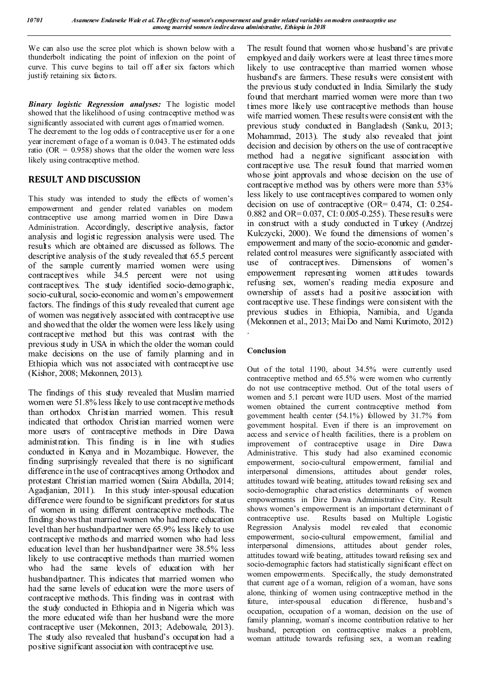We can also use the scree plot which is shown below with a thunderbolt indicating the point of inflexion on the point of curve. This curve begins to tail off after six factors which justify retaining six factors.

*Binary logistic Regression analyses:* The logistic model showed that the likelihood of using contraceptive method was significantly associated with current ages of married women.

The decrement to the log odds o f contraceptive us er for a one year increment of age of a woman is 0.043. T he estimated odds ratio ( $OR = 0.958$ ) shows that the older the women were less likely using contraceptive method.

# **RESULT AND DISCUSSION**

This study was intended to study the effects of women's empowerment and gender related variables on modern contraceptive use among married women in Dire Dawa Administration. Accordingly, descriptive analysis, factor analysis and logistic regression analysis were used. The results which are obtained are discussed as follows. The descriptive analysis of the study revealed that 65.5 percent of the sample currently married women were using contraceptives while 34.5 percent were not using contraceptives. The study identified socio-demographic, socio-cultural, socio-economic and women's empowerment factors. The findings of this study revealed that current age of women was negatively associated with contraceptive use and showed that the older the women were less likely using contraceptive method but this was contrast with the previous study in USA in which the older the woman could make decisions on the use of family planning and in Ethiopia which was not associated with contraceptive use (Kishor, 2008; Mekonnen, 2013).

The findings of this study revealed that Muslim married women were 51.8% less likely to use contraceptive methods than orthodox Christian married women. This result indicated that orthodox Christian married women were more users of contraceptive methods in Dire Dawa administration. This finding is in line with studies conducted in Kenya and in Mozambique. However, the finding surprisingly revealed that there is no significant difference in the use of contraceptives among Orthodox and protestant Christian married women (Saira Abdulla, 2014; Agadjanian, 2011). In this study inter-spousal education difference were found to be significant predictors for status of women in using different contraceptive methods. The finding shows that married women who had more education level than her husband/partner were 65.9% less likely to use contraceptive methods and married women who had less education level than her husband/partner were 38.5% less likely to use contraceptive methods than married women who had the same levels of education with her husband/partner. This indicates that married women who had the same levels of education were the more users of contraceptive methods. This finding was in contrast with the study conducted in Ethiopia and in Nigeria which was the more educated wife than her husband were the more contraceptive user (Mekonnen, 2013; Adebowale, 2013). The study also revealed that husband's occupation had a positive significant association with contraceptive use.

The result found that women whose husband's are private employed and daily workers were at least three times more likely to use contraceptive than married women whose husband's are farmers. These results were consistent with the previous study conducted in India. Similarly the study found that merchant married women were more than two times more likely use contraceptive methods than house wife married women. These results were consistent with the previous study conducted in Bangladesh (Sanku, 2013; Mohammad, 2013). The study also revealed that joint decision and decision by others on the use of contraceptive method had a negative significant association with contraceptive use. The result found that married women whose joint approvals and whose decision on the use of contraceptive method was by others were more than 53% less likely to use contraceptives compared to women only decision on use of contraceptive (OR= 0.474, CI: 0.254- 0.882 and OR= 0.037, CI: 0.005-0.255). These results were in construct with a study conducted in Turkey (Andrzej Kulczycki, 2000). We found the dimensions of women's empowerment and many of the socio-economic and genderrelated control measures were significantly associated with use of contraceptives. Dimensions of women's empowerment representing women attitudes towards refusing sex, women's reading media exposure and ownership of assets had a positive association with contraceptive use. These findings were consistent with the previous studies in Ethiopia, Namibia, and Uganda (Mekonnen et al., 2013; Mai Do and Nami Kurimoto, 2012) .

# **Conclusion**

Out of the total 1190, about 34.5% were currently used contraceptive method and 65.5% were women who currently do not use contraceptive method. Out of the total users of women and 5.1 percent were IUD users. Most of the married women obtained the current contraceptive method from government health center (54.1%) followed by 31.7% from government hospital. Even if there is an improvement on access and service of health facilities, there is a problem on improvement of contraceptive usage in Dire Dawa Administrative. This study had also examined economic empowerment, socio-cultural empowerment, familial and interpersonal dimensions, attitudes about gender roles, attitudes toward wife beating, attitudes toward refusing sex and socio-demographic characteristics determinants of women empowerments in Dire Dawa Administrative City. Result shows women's empowerment is an important determinant o f contraceptive use. Results based on Multiple Logistic Regression Analysis model revealed that economic empowerment, socio-cultural empowerment, familial and interpersonal dimensions, attitudes about gender roles, attitudes toward wife beating, attitudes toward refusing sex and socio-demographic factors had statistically significant effect on women empowerments. Specifically, the study demonstrated that current age of a woman, religion of a woman, have sons alone, thinking of women using contraceptive method in the future, inter-spousal education difference, husband's occupation, occupation of a woman, decision on the use of family planning, woman's income contribution relative to her husband, perception on contraceptive makes a problem, woman attitude towards refusing sex, a woman reading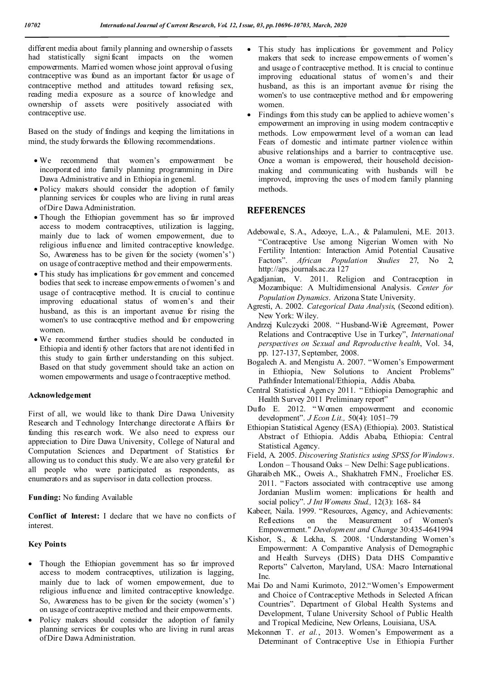different media about family planning and ownership o fassets had statistically signi ficant impacts on the women empowerments. Married women whose joint approval of using contraceptive was found as an important factor for usage of contraceptive method and attitudes toward refusing sex, reading media exposure as a source of knowledge and ownership of assets were positively associated with contraceptive use.

Based on the study of findings and keeping the limitations in mind, the study forwards the following recommendations.

- We recommend that women's empowerment be incorporated into family planning programming in Dire Dawa Administrative and in Ethiopia in general.
- Policy makers should consider the adoption of family planning services for couples who are living in rural areas of Dire Dawa Administration.
- Though the Ethiopian government has so far improved access to modern contraceptives, utilization is lagging, mainly due to lack of women empowerment, due to religious influence and limited contraceptive knowledge. So, Awareness has to be given for the society (women's') on usage of contraceptive method and their empowerments.
- This study has implications for government and concerned bodies that seek to increase empowerments of women's and usage of contraceptive method. It is crucial to continue improving educational status of women's and their husband, as this is an important avenue for rising the women's to use contraceptive method and for empowering women.
- We recommend further studies should be conducted in Ethiopia and identi fy other factors that are not identified in this study to gain further understanding on this subject. Based on that study government should take an action on women empowerments and usage o f contraceptive method.

#### **Acknowledgement**

First of all, we would like to thank Dire Dawa University Research and Technology Interchange directorate Affairs for funding this research work. We also need to express our appreciation to Dire Dawa University, College of Natural and Computation Sciences and Department of Statistics for allowing us to conduct this study. We are also very grateful for all people who were participated as respondents, as enumerators and as supervisor in data collection process.

**Funding:** No funding Available

**Conflict of Interest:** I declare that we have no conflicts of interest.

#### **Key Points**

- Though the Ethiopian government has so far improved access to modern contraceptives, utilization is lagging, mainly due to lack of women empowerment, due to religious influence and limited contraceptive knowledge. So, Awareness has to be given for the society (women's') on usage of contraceptive method and their empowerments.
- Policy makers should consider the adoption of family planning services for couples who are living in rural areas of Dire Dawa Administration.
- This study has implications for government and Policy makers that seek to increase empowerments of women's and usage o f contraceptive method. It is crucial to continue improving educational status of women's and their husband, as this is an important avenue for rising the women's to use contraceptive method and for empowering women.
- Findings from this study can be applied to achieve women's empowerment an improving in using modern contraceptiv e methods. Low empowerment level of a woman can lead Fears of domestic and intimate partner violence within abusive relationships and a barrier to contraceptive use. Once a woman is empowered, their household decisionmaking and communicating with husbands will be improved, improving the uses of modern family planning methods.

# **REFERENCES**

- Adebowale, S.A., Adeoye, L.A., & Palamuleni, M.E. 2013. "Contraceptive Use among Nigerian Women with No Fertility Intention: Interaction Amid Potential Causative Factors". *African Population Studies* 27, No 2, http://aps.journals.ac.za 127
- Agadjanian, V. 2011. Religion and Contraception in Mozambique: A Multidimensional Analysis. *Center for Population Dynamics*. Arizona State University.
- Agresti, A. 2002. *Categorical Data Analysis*, (Second edition). New York: Wiley.
- Andrzej Kulczycki 2008. " Husband-Wife Agreement, Power Relations and Contraceptive Use in Turkey", *International perspectives on Sexual and Reproductive health*, Vol. 34, pp. 127-137, September, 2008.
- Bogalech A. and Mengistu A. 2007. "Women's Empowerment in Ethiopia, New Solutions to Ancient Problems" Pathfinder International/Ethiopia, Addis Ababa.
- Central Statistical Agency 2011. " Ethiopia Demographic and Health Survey 2011 Preliminary report"
- Duflo E. 2012. " Women empowerment and economic development". *J Econ Lit.,* 50(4): 1051–79
- Ethiopian Statistical Agency (ESA) (Ethiopia). 2003. Statistical Abstract of Ethiopia. Addis Ababa, Ethiopia: Central Statistical Agency.
- Field, A. 2005. *Discovering Statistics using SPSS for Windows*. London – Thousand Oaks – New Delhi: Sage publications.
- Gharaibeh MK., Oweis A., Shakhatreh FMN., Froelicher ES. 2011. "Factors associated with contraceptive use among Jordanian Muslim women: implications for health and social policy". *J Int Womens Stud.,* 12(3): 168- 84
- Kabeer, Naila. 1999. "Resources, Agency, and Achievements: Reflections on the Measurement of Women's Empowerment." *Development and Change* 30:435-4641994
- Kishor, S., & Lekha, S. 2008. 'Understanding Women's Empowerment: A Comparative Analysis of Demographic and Health Surveys (DHS) Data DHS Comparative Reports" Calverton, Maryland, USA: Macro International Inc.
- Mai Do and Nami Kurimoto, 2012."Women's Empowerment and Choice of Contraceptive Methods in Selected African Countries". Department of Global Health Systems and Development, Tulane University School of Public Health and Tropical Medicine, New Orleans, Louisiana, USA.
- Mekonnen T. *et al.*, 2013. Women's Empowerment as a Determinant of Contraceptive Use in Ethiopia Further